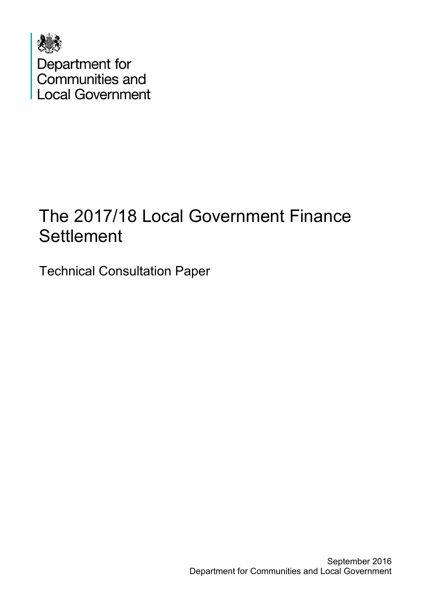

# The 2017/18 Local Government Finance **Settlement**

Technical Consultation Paper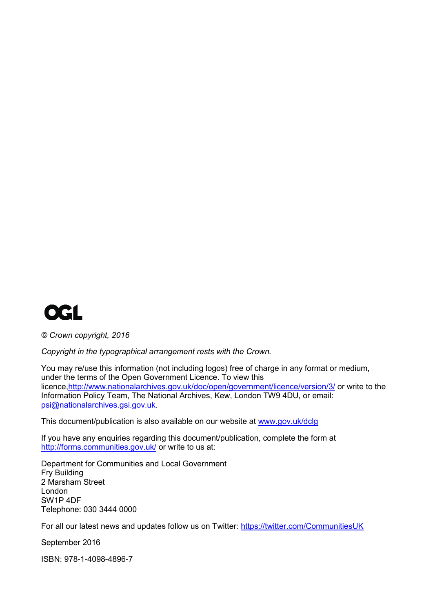

*© Crown copyright, 2016*

*Copyright in the typographical arrangement rests with the Crown.*

You may re/use this information (not including logos) free of charge in any format or medium, under the terms of the Open Government Licence. To view this licence[,http://www.nationalarchives.gov.uk/doc/open/government/licence/version/3/](http://www.nationalarchives.gov.uk/doc/open-government-licence/version/3/) or write to the Information Policy Team, The National Archives, Kew, London TW9 4DU, or email: [psi@nationalarchives.gsi.gov.uk.](mailto:psi@nationalarchives.gsi.gov.uk)

This document/publication is also available on our website at [www.gov.uk/dclg](http://www.gov.uk/dclg)

If you have any enquiries regarding this document/publication, complete the form at <http://forms.communities.gov.uk/> or write to us at:

Department for Communities and Local Government Fry Building 2 Marsham Street London SW1P 4DF Telephone: 030 3444 0000

For all our latest news and updates follow us on Twitter:<https://twitter.com/CommunitiesUK>

September 2016

ISBN: 978-1-4098-4896-7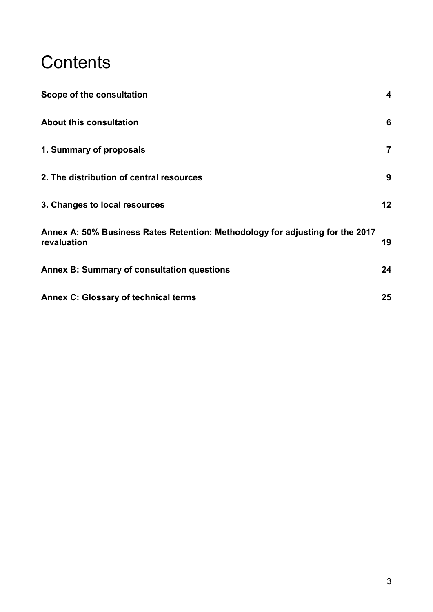# **Contents**

| Scope of the consultation                                                                    | $\overline{\mathbf{4}}$ |
|----------------------------------------------------------------------------------------------|-------------------------|
| <b>About this consultation</b>                                                               | 6                       |
| 1. Summary of proposals                                                                      | $\overline{7}$          |
| 2. The distribution of central resources                                                     | 9                       |
| 3. Changes to local resources                                                                | 12 <sub>2</sub>         |
| Annex A: 50% Business Rates Retention: Methodology for adjusting for the 2017<br>revaluation | 19                      |
| <b>Annex B: Summary of consultation questions</b>                                            | 24                      |
| <b>Annex C: Glossary of technical terms</b>                                                  | 25                      |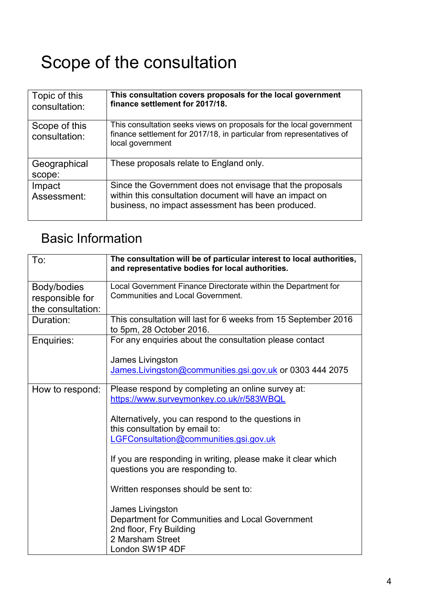# <span id="page-3-0"></span>Scope of the consultation

| Topic of this<br>consultation: | This consultation covers proposals for the local government<br>finance settlement for 2017/18.                                                                             |
|--------------------------------|----------------------------------------------------------------------------------------------------------------------------------------------------------------------------|
| Scope of this<br>consultation: | This consultation seeks views on proposals for the local government<br>finance settlement for 2017/18, in particular from representatives of<br>local government           |
| Geographical<br>scope:         | These proposals relate to England only.                                                                                                                                    |
| Impact<br>Assessment:          | Since the Government does not envisage that the proposals<br>within this consultation document will have an impact on<br>business, no impact assessment has been produced. |

# Basic Information

| To:                                                 | The consultation will be of particular interest to local authorities,<br>and representative bodies for local authorities.                                                                                                                                                                                                                                                                                                                                                                                            |
|-----------------------------------------------------|----------------------------------------------------------------------------------------------------------------------------------------------------------------------------------------------------------------------------------------------------------------------------------------------------------------------------------------------------------------------------------------------------------------------------------------------------------------------------------------------------------------------|
| Body/bodies<br>responsible for<br>the consultation: | Local Government Finance Directorate within the Department for<br><b>Communities and Local Government.</b>                                                                                                                                                                                                                                                                                                                                                                                                           |
| Duration:                                           | This consultation will last for 6 weeks from 15 September 2016<br>to 5pm, 28 October 2016.                                                                                                                                                                                                                                                                                                                                                                                                                           |
| Enquiries:                                          | For any enquiries about the consultation please contact<br>James Livingston<br>James.Livingston@communities.gsi.gov.uk or 0303 444 2075                                                                                                                                                                                                                                                                                                                                                                              |
| How to respond:                                     | Please respond by completing an online survey at:<br>https://www.surveymonkey.co.uk/r/583WBQL<br>Alternatively, you can respond to the questions in<br>this consultation by email to:<br>LGFConsultation@communities.gsi.gov.uk<br>If you are responding in writing, please make it clear which<br>questions you are responding to.<br>Written responses should be sent to:<br>James Livingston<br>Department for Communities and Local Government<br>2nd floor, Fry Building<br>2 Marsham Street<br>London SW1P 4DF |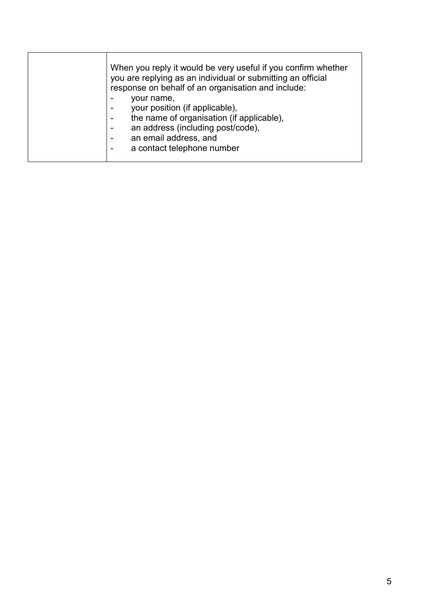| When you reply it would be very useful if you confirm whether<br>you are replying as an individual or submitting an official<br>response on behalf of an organisation and include:<br>your name,<br>your position (if applicable),<br>the name of organisation (if applicable),<br>an address (including post/code),<br>an email address, and<br>a contact telephone number |  |
|-----------------------------------------------------------------------------------------------------------------------------------------------------------------------------------------------------------------------------------------------------------------------------------------------------------------------------------------------------------------------------|--|
|-----------------------------------------------------------------------------------------------------------------------------------------------------------------------------------------------------------------------------------------------------------------------------------------------------------------------------------------------------------------------------|--|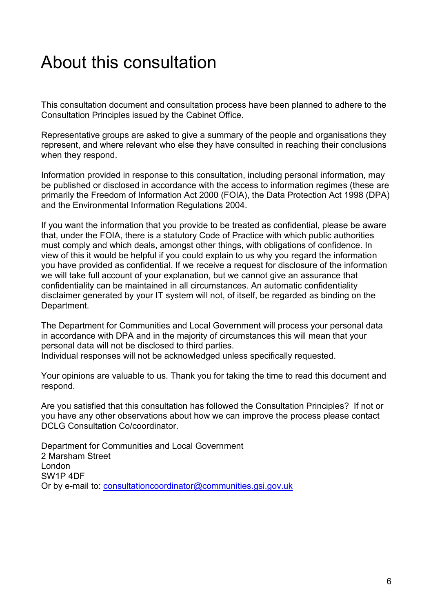# <span id="page-5-0"></span>About this consultation

This consultation document and consultation process have been planned to adhere to the Consultation Principles issued by the Cabinet Office.

Representative groups are asked to give a summary of the people and organisations they represent, and where relevant who else they have consulted in reaching their conclusions when they respond.

Information provided in response to this consultation, including personal information, may be published or disclosed in accordance with the access to information regimes (these are primarily the Freedom of Information Act 2000 (FOIA), the Data Protection Act 1998 (DPA) and the Environmental Information Regulations 2004.

If you want the information that you provide to be treated as confidential, please be aware that, under the FOIA, there is a statutory Code of Practice with which public authorities must comply and which deals, amongst other things, with obligations of confidence. In view of this it would be helpful if you could explain to us why you regard the information you have provided as confidential. If we receive a request for disclosure of the information we will take full account of your explanation, but we cannot give an assurance that confidentiality can be maintained in all circumstances. An automatic confidentiality disclaimer generated by your IT system will not, of itself, be regarded as binding on the Department.

The Department for Communities and Local Government will process your personal data in accordance with DPA and in the majority of circumstances this will mean that your personal data will not be disclosed to third parties.

Individual responses will not be acknowledged unless specifically requested.

Your opinions are valuable to us. Thank you for taking the time to read this document and respond.

Are you satisfied that this consultation has followed the Consultation Principles? If not or you have any other observations about how we can improve the process please contact DCLG Consultation Co/coordinator.

Department for Communities and Local Government 2 Marsham Street London SW1P 4DF Or by e-mail to: [consultationcoordinator@communities.gsi.gov.uk](mailto:consultationcoordinator@communities.gsi.gov.uk)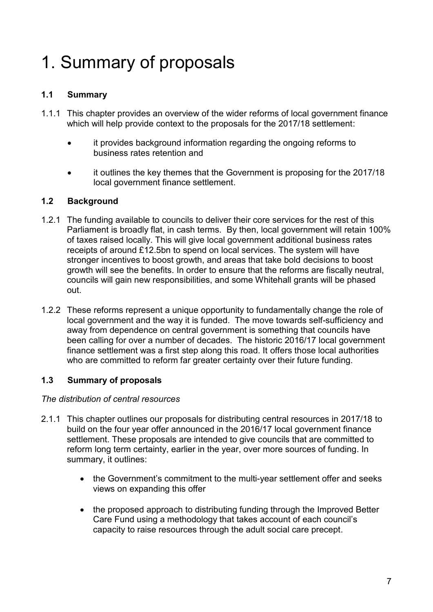# <span id="page-6-0"></span>1. Summary of proposals

# **1.1 Summary**

- 1.1.1 This chapter provides an overview of the wider reforms of local government finance which will help provide context to the proposals for the 2017/18 settlement:
	- it provides background information regarding the ongoing reforms to business rates retention and
	- it outlines the key themes that the Government is proposing for the 2017/18 local government finance settlement.

# **1.2 Background**

- 1.2.1 The funding available to councils to deliver their core services for the rest of this Parliament is broadly flat, in cash terms. By then, local government will retain 100% of taxes raised locally. This will give local government additional business rates receipts of around £12.5bn to spend on local services. The system will have stronger incentives to boost growth, and areas that take bold decisions to boost growth will see the benefits. In order to ensure that the reforms are fiscally neutral, councils will gain new responsibilities, and some Whitehall grants will be phased out.
- 1.2.2 These reforms represent a unique opportunity to fundamentally change the role of local government and the way it is funded. The move towards self-sufficiency and away from dependence on central government is something that councils have been calling for over a number of decades. The historic 2016/17 local government finance settlement was a first step along this road. It offers those local authorities who are committed to reform far greater certainty over their future funding.

# **1.3 Summary of proposals**

#### *The distribution of central resources*

- 2.1.1 This chapter outlines our proposals for distributing central resources in 2017/18 to build on the four year offer announced in the 2016/17 local government finance settlement. These proposals are intended to give councils that are committed to reform long term certainty, earlier in the year, over more sources of funding. In summary, it outlines:
	- the Government's commitment to the multi-year settlement offer and seeks views on expanding this offer
	- the proposed approach to distributing funding through the Improved Better Care Fund using a methodology that takes account of each council's capacity to raise resources through the adult social care precept.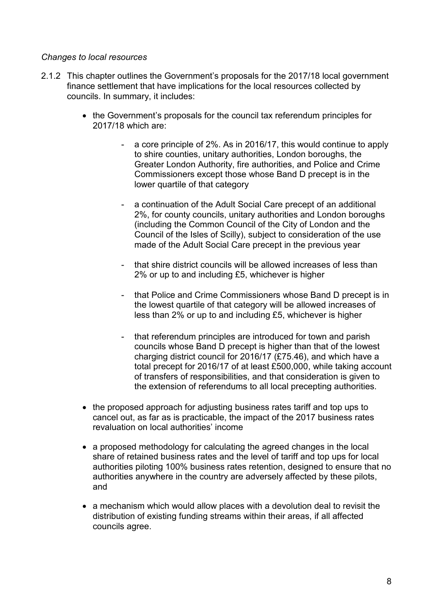#### *Changes to local resources*

- 2.1.2 This chapter outlines the Government's proposals for the 2017/18 local government finance settlement that have implications for the local resources collected by councils. In summary, it includes:
	- the Government's proposals for the council tax referendum principles for 2017/18 which are:
		- a core principle of 2%. As in 2016/17, this would continue to apply to shire counties, unitary authorities, London boroughs, the Greater London Authority, fire authorities, and Police and Crime Commissioners except those whose Band D precept is in the lower quartile of that category
		- a continuation of the Adult Social Care precept of an additional 2%, for county councils, unitary authorities and London boroughs (including the Common Council of the City of London and the Council of the Isles of Scilly), subject to consideration of the use made of the Adult Social Care precept in the previous year
		- that shire district councils will be allowed increases of less than 2% or up to and including £5, whichever is higher
		- that Police and Crime Commissioners whose Band D precept is in the lowest quartile of that category will be allowed increases of less than 2% or up to and including £5, whichever is higher
		- that referendum principles are introduced for town and parish councils whose Band D precept is higher than that of the lowest charging district council for 2016/17 (£75.46), and which have a total precept for 2016/17 of at least £500,000, while taking account of transfers of responsibilities, and that consideration is given to the extension of referendums to all local precepting authorities.
	- the proposed approach for adjusting business rates tariff and top ups to cancel out, as far as is practicable, the impact of the 2017 business rates revaluation on local authorities' income
	- a proposed methodology for calculating the agreed changes in the local share of retained business rates and the level of tariff and top ups for local authorities piloting 100% business rates retention, designed to ensure that no authorities anywhere in the country are adversely affected by these pilots, and
	- a mechanism which would allow places with a devolution deal to revisit the distribution of existing funding streams within their areas, if all affected councils agree.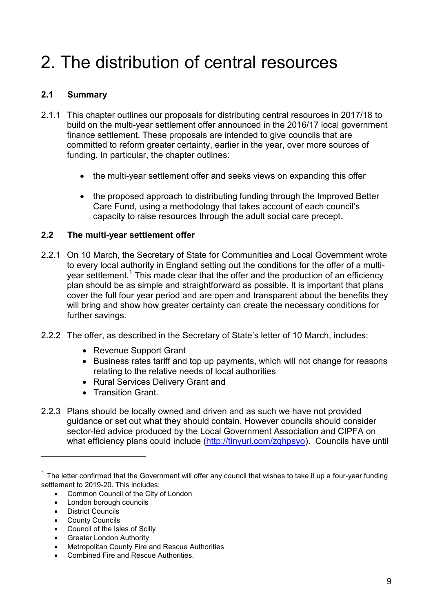# <span id="page-8-0"></span>2. The distribution of central resources

# **2.1 Summary**

- 2.1.1 This chapter outlines our proposals for distributing central resources in 2017/18 to build on the multi-year settlement offer announced in the 2016/17 local government finance settlement. These proposals are intended to give councils that are committed to reform greater certainty, earlier in the year, over more sources of funding. In particular, the chapter outlines:
	- the multi-year settlement offer and seeks views on expanding this offer
	- the proposed approach to distributing funding through the Improved Better Care Fund, using a methodology that takes account of each council's capacity to raise resources through the adult social care precept.

### **2.2 The multi-year settlement offer**

- 2.2.1 On 10 March, the Secretary of State for Communities and Local Government wrote to every local authority in England setting out the conditions for the offer of a multiyear settlement.<sup>1</sup> This made clear that the offer and the production of an efficiency plan should be as simple and straightforward as possible. It is important that plans cover the full four year period and are open and transparent about the benefits they will bring and show how greater certainty can create the necessary conditions for further savings.
- 2.2.2 The offer, as described in the Secretary of State's letter of 10 March, includes:
	- Revenue Support Grant
	- Business rates tariff and top up payments, which will not change for reasons relating to the relative needs of local authorities
	- Rural Services Delivery Grant and
	- **Transition Grant.**
- 2.2.3 Plans should be locally owned and driven and as such we have not provided guidance or set out what they should contain. However councils should consider sector-led advice produced by the Local Government Association and CIPFA on what efficiency plans could include (http://tinyurl.com/zghpsyo). Councils have until

- Common Council of the City of London
- London borough councils
- District Councils

1

- County Councils
- Council of the Isles of Scilly
- Greater London Authority
- Metropolitan County Fire and Rescue Authorities
- Combined Fire and Rescue Authorities*.*

 $1$  The letter confirmed that the Government will offer any council that wishes to take it up a four-year funding settlement to 2019-20. This includes: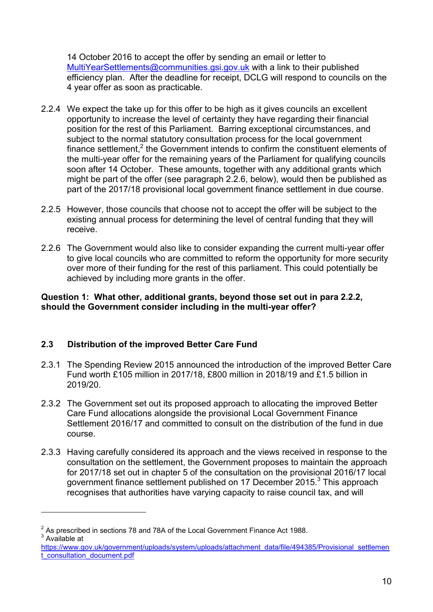14 October 2016 to accept the offer by sending an email or letter to [MultiYearSettlements@communities.gsi.gov.uk](mailto:MultiYearSettlements@communities.gsi.gov.uk) with a link to their published efficiency plan. After the deadline for receipt, DCLG will respond to councils on the 4 year offer as soon as practicable.

- 2.2.4 We expect the take up for this offer to be high as it gives councils an excellent opportunity to increase the level of certainty they have regarding their financial position for the rest of this Parliament. Barring exceptional circumstances, and subject to the normal statutory consultation process for the local government finance settlement,<sup>2</sup> the Government intends to confirm the constituent elements of the multi-year offer for the remaining years of the Parliament for qualifying councils soon after 14 October. These amounts, together with any additional grants which might be part of the offer (see paragraph 2.2.6, below), would then be published as part of the 2017/18 provisional local government finance settlement in due course.
- 2.2.5 However, those councils that choose not to accept the offer will be subject to the existing annual process for determining the level of central funding that they will receive.
- 2.2.6 The Government would also like to consider expanding the current multi-year offer to give local councils who are committed to reform the opportunity for more security over more of their funding for the rest of this parliament. This could potentially be achieved by including more grants in the offer.

#### **Question 1: What other, additional grants, beyond those set out in para 2.2.2, should the Government consider including in the multi-year offer?**

#### **2.3 Distribution of the improved Better Care Fund**

- 2.3.1 The Spending Review 2015 announced the introduction of the improved Better Care Fund worth £105 million in 2017/18, £800 million in 2018/19 and £1.5 billion in 2019/20.
- 2.3.2 The Government set out its proposed approach to allocating the improved Better Care Fund allocations alongside the provisional Local Government Finance Settlement 2016/17 and committed to consult on the distribution of the fund in due course.
- 2.3.3 Having carefully considered its approach and the views received in response to the consultation on the settlement, the Government proposes to maintain the approach for 2017/18 set out in chapter 5 of the consultation on the provisional 2016/17 local government finance settlement published on 17 December 2015.<sup>3</sup> This approach recognises that authorities have varying capacity to raise council tax, and will

1

 $2^{2}$  As prescribed in sections 78 and 78A of the Local Government Finance Act 1988. <sup>3</sup> Available at

[https://www.gov.uk/government/uploads/system/uploads/attachment\\_data/file/494385/Provisional\\_settlemen](https://www.gov.uk/government/uploads/system/uploads/attachment_data/file/494385/Provisional_settlement_consultation_document.pdf) [t\\_consultation\\_document.pdf](https://www.gov.uk/government/uploads/system/uploads/attachment_data/file/494385/Provisional_settlement_consultation_document.pdf)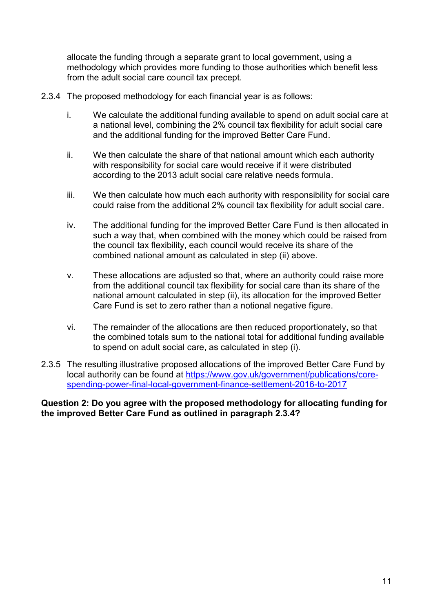allocate the funding through a separate grant to local government, using a methodology which provides more funding to those authorities which benefit less from the adult social care council tax precept.

- 2.3.4 The proposed methodology for each financial year is as follows:
	- i. We calculate the additional funding available to spend on adult social care at a national level, combining the 2% council tax flexibility for adult social care and the additional funding for the improved Better Care Fund.
	- ii. We then calculate the share of that national amount which each authority with responsibility for social care would receive if it were distributed according to the 2013 adult social care relative needs formula.
	- iii. We then calculate how much each authority with responsibility for social care could raise from the additional 2% council tax flexibility for adult social care.
	- iv. The additional funding for the improved Better Care Fund is then allocated in such a way that, when combined with the money which could be raised from the council tax flexibility, each council would receive its share of the combined national amount as calculated in step (ii) above.
	- v. These allocations are adjusted so that, where an authority could raise more from the additional council tax flexibility for social care than its share of the national amount calculated in step (ii), its allocation for the improved Better Care Fund is set to zero rather than a notional negative figure.
	- vi. The remainder of the allocations are then reduced proportionately, so that the combined totals sum to the national total for additional funding available to spend on adult social care, as calculated in step (i).
- 2.3.5 The resulting illustrative proposed allocations of the improved Better Care Fund by local authority can be found at [https://www.gov.uk/government/publications/core](https://www.gov.uk/government/publications/core-spending-power-final-local-government-finance-settlement-2016-to-2017)[spending-power-final-local-government-finance-settlement-2016-to-2017](https://www.gov.uk/government/publications/core-spending-power-final-local-government-finance-settlement-2016-to-2017)

**Question 2: Do you agree with the proposed methodology for allocating funding for the improved Better Care Fund as outlined in paragraph 2.3.4?**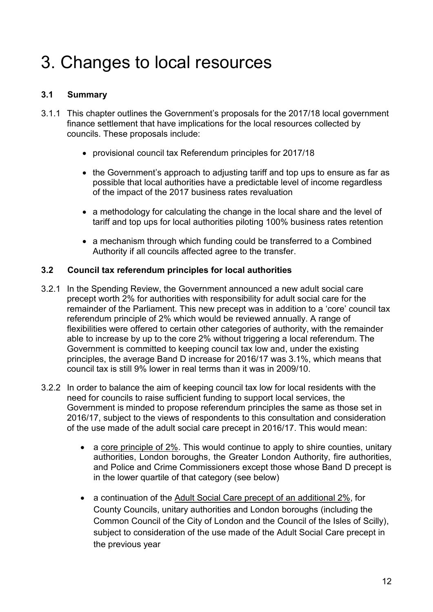# <span id="page-11-0"></span>3. Changes to local resources

# **3.1 Summary**

- 3.1.1 This chapter outlines the Government's proposals for the 2017/18 local government finance settlement that have implications for the local resources collected by councils. These proposals include:
	- provisional council tax Referendum principles for 2017/18
	- the Government's approach to adjusting tariff and top ups to ensure as far as possible that local authorities have a predictable level of income regardless of the impact of the 2017 business rates revaluation
	- a methodology for calculating the change in the local share and the level of tariff and top ups for local authorities piloting 100% business rates retention
	- a mechanism through which funding could be transferred to a Combined Authority if all councils affected agree to the transfer.

### **3.2 Council tax referendum principles for local authorities**

- 3.2.1 In the Spending Review, the Government announced a new adult social care precept worth 2% for authorities with responsibility for adult social care for the remainder of the Parliament. This new precept was in addition to a 'core' council tax referendum principle of 2% which would be reviewed annually. A range of flexibilities were offered to certain other categories of authority, with the remainder able to increase by up to the core 2% without triggering a local referendum. The Government is committed to keeping council tax low and, under the existing principles, the average Band D increase for 2016/17 was 3.1%, which means that council tax is still 9% lower in real terms than it was in 2009/10.
- 3.2.2 In order to balance the aim of keeping council tax low for local residents with the need for councils to raise sufficient funding to support local services, the Government is minded to propose referendum principles the same as those set in 2016/17, subject to the views of respondents to this consultation and consideration of the use made of the adult social care precept in 2016/17. This would mean:
	- a core principle of 2%. This would continue to apply to shire counties, unitary authorities, London boroughs, the Greater London Authority, fire authorities, and Police and Crime Commissioners except those whose Band D precept is in the lower quartile of that category (see below)
	- a continuation of the Adult Social Care precept of an additional 2%, for County Councils, unitary authorities and London boroughs (including the Common Council of the City of London and the Council of the Isles of Scilly), subject to consideration of the use made of the Adult Social Care precept in the previous year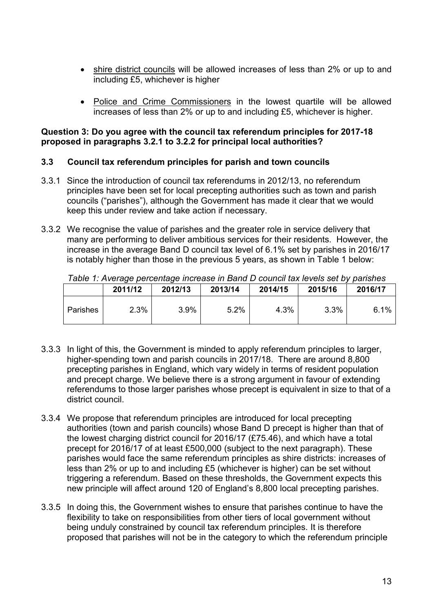- shire district councils will be allowed increases of less than 2% or up to and including £5, whichever is higher
- Police and Crime Commissioners in the lowest quartile will be allowed increases of less than 2% or up to and including £5, whichever is higher.

#### **Question 3: Do you agree with the council tax referendum principles for 2017-18 proposed in paragraphs 3.2.1 to 3.2.2 for principal local authorities?**

#### **3.3 Council tax referendum principles for parish and town councils**

- 3.3.1 Since the introduction of council tax referendums in 2012/13, no referendum principles have been set for local precepting authorities such as town and parish councils ("parishes"), although the Government has made it clear that we would keep this under review and take action if necessary.
- 3.3.2 We recognise the value of parishes and the greater role in service delivery that many are performing to deliver ambitious services for their residents. However, the increase in the average Band D council tax level of 6.1% set by parishes in 2016/17 is notably higher than those in the previous 5 years, as shown in Table 1 below:

|          | 2011/12 | 2012/13 | 2013/14 | 2014/15 | 2015/16 | 2016/17 |
|----------|---------|---------|---------|---------|---------|---------|
| Parishes | 2.3%    | 3.9%    | 5.2%    | 4.3%    | 3.3%    | 6.1%    |

*Table 1: Average percentage increase in Band D council tax levels set by parishes*

- 3.3.3 In light of this, the Government is minded to apply referendum principles to larger, higher-spending town and parish councils in 2017/18. There are around 8,800 precepting parishes in England, which vary widely in terms of resident population and precept charge. We believe there is a strong argument in favour of extending referendums to those larger parishes whose precept is equivalent in size to that of a district council.
- 3.3.4 We propose that referendum principles are introduced for local precepting authorities (town and parish councils) whose Band D precept is higher than that of the lowest charging district council for 2016/17 (£75.46), and which have a total precept for 2016/17 of at least £500,000 (subject to the next paragraph). These parishes would face the same referendum principles as shire districts: increases of less than 2% or up to and including £5 (whichever is higher) can be set without triggering a referendum. Based on these thresholds, the Government expects this new principle will affect around 120 of England's 8,800 local precepting parishes.
- 3.3.5 In doing this, the Government wishes to ensure that parishes continue to have the flexibility to take on responsibilities from other tiers of local government without being unduly constrained by council tax referendum principles. It is therefore proposed that parishes will not be in the category to which the referendum principle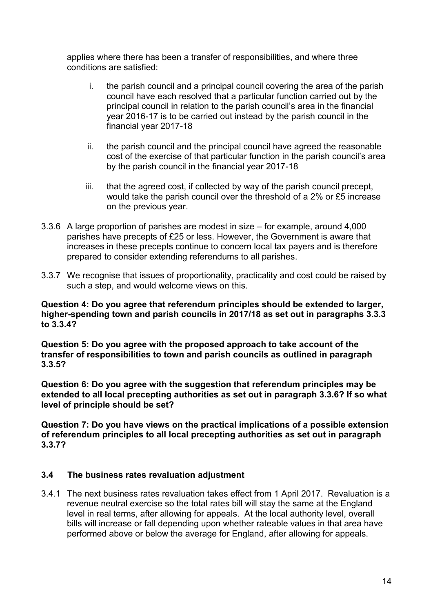applies where there has been a transfer of responsibilities, and where three conditions are satisfied:

- i. the parish council and a principal council covering the area of the parish council have each resolved that a particular function carried out by the principal council in relation to the parish council's area in the financial year 2016-17 is to be carried out instead by the parish council in the financial year 2017-18
- ii. the parish council and the principal council have agreed the reasonable cost of the exercise of that particular function in the parish council's area by the parish council in the financial year 2017-18
- iii. that the agreed cost, if collected by way of the parish council precept, would take the parish council over the threshold of a 2% or £5 increase on the previous year.
- 3.3.6 A large proportion of parishes are modest in size for example, around 4,000 parishes have precepts of £25 or less. However, the Government is aware that increases in these precepts continue to concern local tax payers and is therefore prepared to consider extending referendums to all parishes.
- 3.3.7 We recognise that issues of proportionality, practicality and cost could be raised by such a step, and would welcome views on this.

**Question 4: Do you agree that referendum principles should be extended to larger, higher-spending town and parish councils in 2017/18 as set out in paragraphs 3.3.3 to 3.3.4?** 

**Question 5: Do you agree with the proposed approach to take account of the transfer of responsibilities to town and parish councils as outlined in paragraph 3.3.5?** 

**Question 6: Do you agree with the suggestion that referendum principles may be extended to all local precepting authorities as set out in paragraph 3.3.6? If so what level of principle should be set?** 

**Question 7: Do you have views on the practical implications of a possible extension of referendum principles to all local precepting authorities as set out in paragraph 3.3.7?** 

#### **3.4 The business rates revaluation adjustment**

3.4.1 The next business rates revaluation takes effect from 1 April 2017. Revaluation is a revenue neutral exercise so the total rates bill will stay the same at the England level in real terms, after allowing for appeals. At the local authority level, overall bills will increase or fall depending upon whether rateable values in that area have performed above or below the average for England, after allowing for appeals.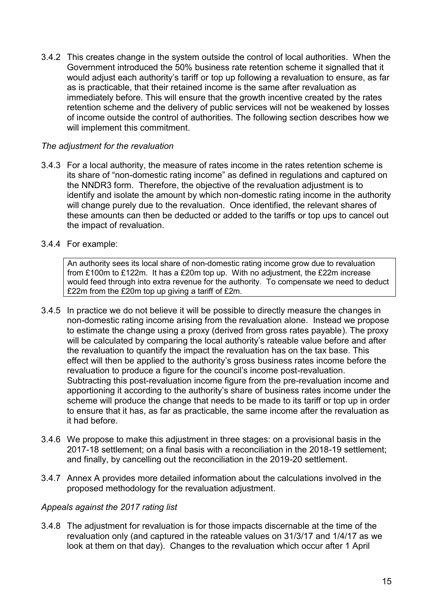3.4.2 This creates change in the system outside the control of local authorities. When the Government introduced the 50% business rate retention scheme it signalled that it would adjust each authority's tariff or top up following a revaluation to ensure, as far as is practicable, that their retained income is the same after revaluation as immediately before. This will ensure that the growth incentive created by the rates retention scheme and the delivery of public services will not be weakened by losses of income outside the control of authorities. The following section describes how we will implement this commitment.

#### *The adjustment for the revaluation*

3.4.3 For a local authority, the measure of rates income in the rates retention scheme is its share of "non-domestic rating income" as defined in regulations and captured on the NNDR3 form. Therefore, the objective of the revaluation adjustment is to identify and isolate the amount by which non-domestic rating income in the authority will change purely due to the revaluation. Once identified, the relevant shares of these amounts can then be deducted or added to the tariffs or top ups to cancel out the impact of revaluation.

#### 3.4.4 For example:

An authority sees its local share of non-domestic rating income grow due to revaluation from £100m to £122m. It has a £20m top up. With no adjustment, the £22m increase would feed through into extra revenue for the authority. To compensate we need to deduct £22m from the £20m top up giving a tariff of £2m.

- 3.4.5 In practice we do not believe it will be possible to directly measure the changes in non-domestic rating income arising from the revaluation alone. Instead we propose to estimate the change using a proxy (derived from gross rates payable). The proxy will be calculated by comparing the local authority's rateable value before and after the revaluation to quantify the impact the revaluation has on the tax base. This effect will then be applied to the authority's gross business rates income before the revaluation to produce a figure for the council's income post-revaluation. Subtracting this post-revaluation income figure from the pre-revaluation income and apportioning it according to the authority's share of business rates income under the scheme will produce the change that needs to be made to its tariff or top up in order to ensure that it has, as far as practicable, the same income after the revaluation as it had before.
- 3.4.6 We propose to make this adjustment in three stages: on a provisional basis in the 2017-18 settlement; on a final basis with a reconciliation in the 2018-19 settlement; and finally, by cancelling out the reconciliation in the 2019-20 settlement.
- 3.4.7 Annex A provides more detailed information about the calculations involved in the proposed methodology for the revaluation adjustment.

#### *Appeals against the 2017 rating list*

3.4.8 The adjustment for revaluation is for those impacts discernable at the time of the revaluation only (and captured in the rateable values on 31/3/17 and 1/4/17 as we look at them on that day). Changes to the revaluation which occur after 1 April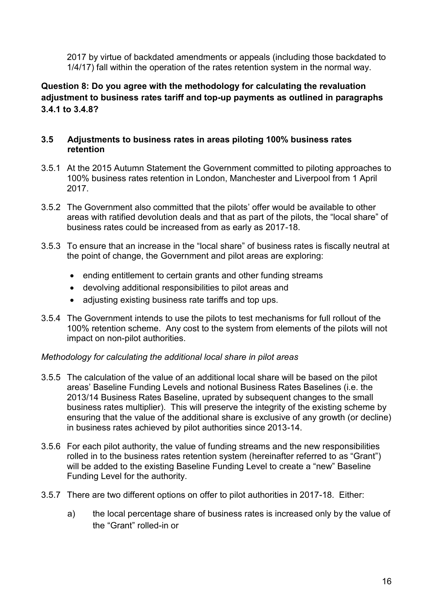2017 by virtue of backdated amendments or appeals (including those backdated to 1/4/17) fall within the operation of the rates retention system in the normal way.

### **Question 8: Do you agree with the methodology for calculating the revaluation adjustment to business rates tariff and top-up payments as outlined in paragraphs 3.4.1 to 3.4.8?**

#### **3.5 Adjustments to business rates in areas piloting 100% business rates retention**

- 3.5.1 At the 2015 Autumn Statement the Government committed to piloting approaches to 100% business rates retention in London, Manchester and Liverpool from 1 April 2017.
- 3.5.2 The Government also committed that the pilots' offer would be available to other areas with ratified devolution deals and that as part of the pilots, the "local share" of business rates could be increased from as early as 2017-18.
- 3.5.3 To ensure that an increase in the "local share" of business rates is fiscally neutral at the point of change, the Government and pilot areas are exploring:
	- ending entitlement to certain grants and other funding streams
	- devolving additional responsibilities to pilot areas and
	- adjusting existing business rate tariffs and top ups.
- 3.5.4 The Government intends to use the pilots to test mechanisms for full rollout of the 100% retention scheme. Any cost to the system from elements of the pilots will not impact on non-pilot authorities.

#### *Methodology for calculating the additional local share in pilot areas*

- 3.5.5 The calculation of the value of an additional local share will be based on the pilot areas' Baseline Funding Levels and notional Business Rates Baselines (i.e. the 2013/14 Business Rates Baseline, uprated by subsequent changes to the small business rates multiplier). This will preserve the integrity of the existing scheme by ensuring that the value of the additional share is exclusive of any growth (or decline) in business rates achieved by pilot authorities since 2013-14.
- 3.5.6 For each pilot authority, the value of funding streams and the new responsibilities rolled in to the business rates retention system (hereinafter referred to as "Grant") will be added to the existing Baseline Funding Level to create a "new" Baseline Funding Level for the authority.
- 3.5.7 There are two different options on offer to pilot authorities in 2017-18. Either:
	- a) the local percentage share of business rates is increased only by the value of the "Grant" rolled-in or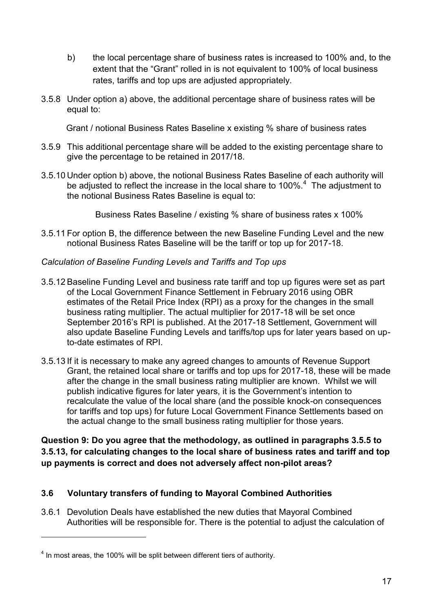- b) the local percentage share of business rates is increased to 100% and, to the extent that the "Grant" rolled in is not equivalent to 100% of local business rates, tariffs and top ups are adjusted appropriately.
- 3.5.8 Under option a) above, the additional percentage share of business rates will be equal to:

Grant / notional Business Rates Baseline x existing % share of business rates

- 3.5.9 This additional percentage share will be added to the existing percentage share to give the percentage to be retained in 2017/18.
- 3.5.10 Under option b) above, the notional Business Rates Baseline of each authority will be adjusted to reflect the increase in the local share to 100%. $4$  The adjustment to the notional Business Rates Baseline is equal to:

Business Rates Baseline / existing % share of business rates x 100%

3.5.11 For option B, the difference between the new Baseline Funding Level and the new notional Business Rates Baseline will be the tariff or top up for 2017-18.

#### *Calculation of Baseline Funding Levels and Tariffs and Top ups*

- 3.5.12 Baseline Funding Level and business rate tariff and top up figures were set as part of the Local Government Finance Settlement in February 2016 using OBR estimates of the Retail Price Index (RPI) as a proxy for the changes in the small business rating multiplier. The actual multiplier for 2017-18 will be set once September 2016's RPI is published. At the 2017-18 Settlement, Government will also update Baseline Funding Levels and tariffs/top ups for later years based on upto-date estimates of RPI.
- 3.5.13 If it is necessary to make any agreed changes to amounts of Revenue Support Grant, the retained local share or tariffs and top ups for 2017-18, these will be made after the change in the small business rating multiplier are known. Whilst we will publish indicative figures for later years, it is the Government's intention to recalculate the value of the local share (and the possible knock-on consequences for tariffs and top ups) for future Local Government Finance Settlements based on the actual change to the small business rating multiplier for those years.

**Question 9: Do you agree that the methodology, as outlined in paragraphs 3.5.5 to 3.5.13, for calculating changes to the local share of business rates and tariff and top up payments is correct and does not adversely affect non-pilot areas?**

#### **3.6 Voluntary transfers of funding to Mayoral Combined Authorities**

3.6.1 Devolution Deals have established the new duties that Mayoral Combined Authorities will be responsible for. There is the potential to adjust the calculation of

1

 $<sup>4</sup>$  In most areas, the 100% will be split between different tiers of authority.</sup>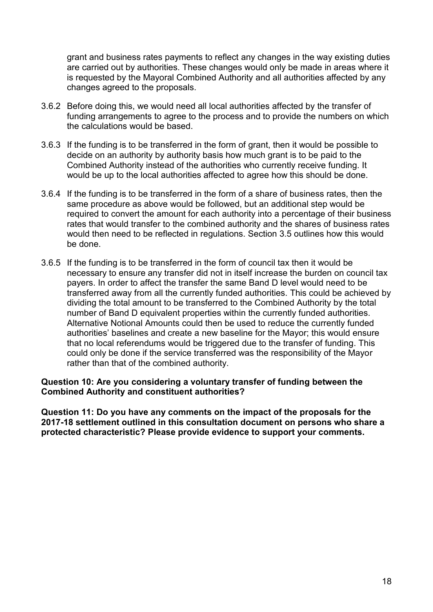grant and business rates payments to reflect any changes in the way existing duties are carried out by authorities. These changes would only be made in areas where it is requested by the Mayoral Combined Authority and all authorities affected by any changes agreed to the proposals.

- 3.6.2 Before doing this, we would need all local authorities affected by the transfer of funding arrangements to agree to the process and to provide the numbers on which the calculations would be based.
- 3.6.3 If the funding is to be transferred in the form of grant, then it would be possible to decide on an authority by authority basis how much grant is to be paid to the Combined Authority instead of the authorities who currently receive funding. It would be up to the local authorities affected to agree how this should be done.
- 3.6.4 If the funding is to be transferred in the form of a share of business rates, then the same procedure as above would be followed, but an additional step would be required to convert the amount for each authority into a percentage of their business rates that would transfer to the combined authority and the shares of business rates would then need to be reflected in regulations. Section 3.5 outlines how this would be done.
- 3.6.5 If the funding is to be transferred in the form of council tax then it would be necessary to ensure any transfer did not in itself increase the burden on council tax payers. In order to affect the transfer the same Band D level would need to be transferred away from all the currently funded authorities. This could be achieved by dividing the total amount to be transferred to the Combined Authority by the total number of Band D equivalent properties within the currently funded authorities. Alternative Notional Amounts could then be used to reduce the currently funded authorities' baselines and create a new baseline for the Mayor; this would ensure that no local referendums would be triggered due to the transfer of funding. This could only be done if the service transferred was the responsibility of the Mayor rather than that of the combined authority.

#### **Question 10: Are you considering a voluntary transfer of funding between the Combined Authority and constituent authorities?**

**Question 11: Do you have any comments on the impact of the proposals for the 2017-18 settlement outlined in this consultation document on persons who share a protected characteristic? Please provide evidence to support your comments.**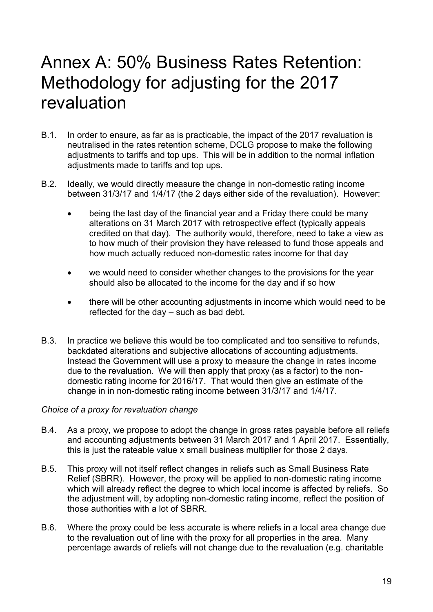# <span id="page-18-0"></span>Annex A: 50% Business Rates Retention: Methodology for adjusting for the 2017 revaluation

- B.1. In order to ensure, as far as is practicable, the impact of the 2017 revaluation is neutralised in the rates retention scheme, DCLG propose to make the following adjustments to tariffs and top ups. This will be in addition to the normal inflation adjustments made to tariffs and top ups.
- B.2. Ideally, we would directly measure the change in non-domestic rating income between 31/3/17 and 1/4/17 (the 2 days either side of the revaluation). However:
	- being the last day of the financial year and a Friday there could be many alterations on 31 March 2017 with retrospective effect (typically appeals credited on that day). The authority would, therefore, need to take a view as to how much of their provision they have released to fund those appeals and how much actually reduced non-domestic rates income for that day
	- we would need to consider whether changes to the provisions for the year should also be allocated to the income for the day and if so how
	- there will be other accounting adjustments in income which would need to be reflected for the day – such as bad debt.
- B.3. In practice we believe this would be too complicated and too sensitive to refunds, backdated alterations and subjective allocations of accounting adjustments. Instead the Government will use a proxy to measure the change in rates income due to the revaluation. We will then apply that proxy (as a factor) to the nondomestic rating income for 2016/17. That would then give an estimate of the change in in non-domestic rating income between 31/3/17 and 1/4/17.

#### *Choice of a proxy for revaluation change*

- B.4. As a proxy, we propose to adopt the change in gross rates payable before all reliefs and accounting adjustments between 31 March 2017 and 1 April 2017. Essentially, this is just the rateable value x small business multiplier for those 2 days.
- B.5. This proxy will not itself reflect changes in reliefs such as Small Business Rate Relief (SBRR). However, the proxy will be applied to non-domestic rating income which will already reflect the degree to which local income is affected by reliefs. So the adjustment will, by adopting non-domestic rating income, reflect the position of those authorities with a lot of SBRR.
- B.6. Where the proxy could be less accurate is where reliefs in a local area change due to the revaluation out of line with the proxy for all properties in the area. Many percentage awards of reliefs will not change due to the revaluation (e.g. charitable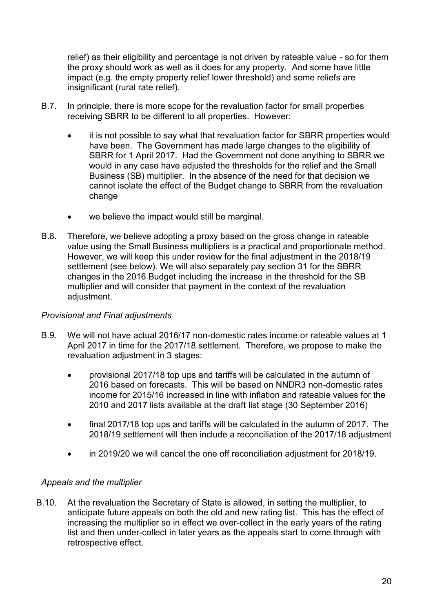relief) as their eligibility and percentage is not driven by rateable value - so for them the proxy should work as well as it does for any property. And some have little impact (e.g. the empty property relief lower threshold) and some reliefs are insignificant (rural rate relief).

- B.7. In principle, there is more scope for the revaluation factor for small properties receiving SBRR to be different to all properties. However:
	- it is not possible to say what that revaluation factor for SBRR properties would have been. The Government has made large changes to the eligibility of SBRR for 1 April 2017. Had the Government not done anything to SBRR we would in any case have adjusted the thresholds for the relief and the Small Business (SB) multiplier. In the absence of the need for that decision we cannot isolate the effect of the Budget change to SBRR from the revaluation change
	- we believe the impact would still be marginal.
- B.8. Therefore, we believe adopting a proxy based on the gross change in rateable value using the Small Business multipliers is a practical and proportionate method. However, we will keep this under review for the final adjustment in the 2018/19 settlement (see below). We will also separately pay section 31 for the SBRR changes in the 2016 Budget including the increase in the threshold for the SB multiplier and will consider that payment in the context of the revaluation adjustment.

#### *Provisional and Final adjustments*

- B.9. We will not have actual 2016/17 non-domestic rates income or rateable values at 1 April 2017 in time for the 2017/18 settlement. Therefore, we propose to make the revaluation adjustment in 3 stages:
	- provisional 2017/18 top ups and tariffs will be calculated in the autumn of 2016 based on forecasts. This will be based on NNDR3 non-domestic rates income for 2015/16 increased in line with inflation and rateable values for the 2010 and 2017 lists available at the draft list stage (30 September 2016)
	- final 2017/18 top ups and tariffs will be calculated in the autumn of 2017. The 2018/19 settlement will then include a reconciliation of the 2017/18 adjustment
	- in 2019/20 we will cancel the one off reconciliation adjustment for 2018/19.

#### *Appeals and the multiplier*

B.10. At the revaluation the Secretary of State is allowed, in setting the multiplier, to anticipate future appeals on both the old and new rating list. This has the effect of increasing the multiplier so in effect we over-collect in the early years of the rating list and then under-collect in later years as the appeals start to come through with retrospective effect.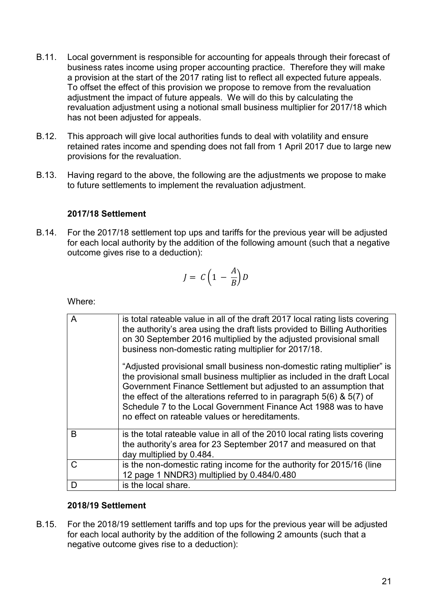- B.11. Local government is responsible for accounting for appeals through their forecast of business rates income using proper accounting practice. Therefore they will make a provision at the start of the 2017 rating list to reflect all expected future appeals. To offset the effect of this provision we propose to remove from the revaluation adjustment the impact of future appeals. We will do this by calculating the revaluation adjustment using a notional small business multiplier for 2017/18 which has not been adjusted for appeals.
- B.12. This approach will give local authorities funds to deal with volatility and ensure retained rates income and spending does not fall from 1 April 2017 due to large new provisions for the revaluation.
- B.13. Having regard to the above, the following are the adjustments we propose to make to future settlements to implement the revaluation adjustment.

#### **2017/18 Settlement**

B.14. For the 2017/18 settlement top ups and tariffs for the previous year will be adjusted for each local authority by the addition of the following amount (such that a negative outcome gives rise to a deduction):

$$
J = C \left( 1 - \frac{A}{B} \right) D
$$

Where:

| A | is total rateable value in all of the draft 2017 local rating lists covering<br>the authority's area using the draft lists provided to Billing Authorities<br>on 30 September 2016 multiplied by the adjusted provisional small<br>business non-domestic rating multiplier for 2017/18.<br>"Adjusted provisional small business non-domestic rating multiplier" is<br>the provisional small business multiplier as included in the draft Local<br>Government Finance Settlement but adjusted to an assumption that<br>the effect of the alterations referred to in paragraph $5(6)$ & $5(7)$ of<br>Schedule 7 to the Local Government Finance Act 1988 was to have<br>no effect on rateable values or hereditaments. |
|---|----------------------------------------------------------------------------------------------------------------------------------------------------------------------------------------------------------------------------------------------------------------------------------------------------------------------------------------------------------------------------------------------------------------------------------------------------------------------------------------------------------------------------------------------------------------------------------------------------------------------------------------------------------------------------------------------------------------------|
|   |                                                                                                                                                                                                                                                                                                                                                                                                                                                                                                                                                                                                                                                                                                                      |
| B | is the total rateable value in all of the 2010 local rating lists covering<br>the authority's area for 23 September 2017 and measured on that<br>day multiplied by 0.484.                                                                                                                                                                                                                                                                                                                                                                                                                                                                                                                                            |
| C | is the non-domestic rating income for the authority for 2015/16 (line                                                                                                                                                                                                                                                                                                                                                                                                                                                                                                                                                                                                                                                |
|   | 12 page 1 NNDR3) multiplied by 0.484/0.480                                                                                                                                                                                                                                                                                                                                                                                                                                                                                                                                                                                                                                                                           |
| D | is the local share.                                                                                                                                                                                                                                                                                                                                                                                                                                                                                                                                                                                                                                                                                                  |

#### **2018/19 Settlement**

B.15. For the 2018/19 settlement tariffs and top ups for the previous year will be adjusted for each local authority by the addition of the following 2 amounts (such that a negative outcome gives rise to a deduction):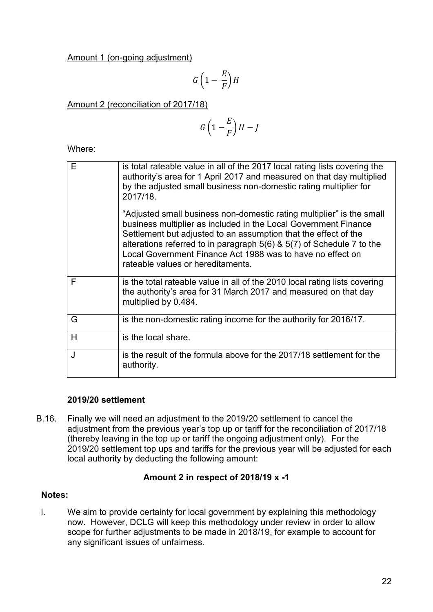Amount 1 (on-going adjustment)

$$
G\left(1-\frac{E}{F}\right)H
$$

Amount 2 (reconciliation of 2017/18)

$$
G\left(1-\frac{E}{F}\right)H-J
$$

Where:

| E | is total rateable value in all of the 2017 local rating lists covering the<br>authority's area for 1 April 2017 and measured on that day multiplied<br>by the adjusted small business non-domestic rating multiplier for<br>2017/18.                                                                                                                                                        |
|---|---------------------------------------------------------------------------------------------------------------------------------------------------------------------------------------------------------------------------------------------------------------------------------------------------------------------------------------------------------------------------------------------|
|   | "Adjusted small business non-domestic rating multiplier" is the small<br>business multiplier as included in the Local Government Finance<br>Settlement but adjusted to an assumption that the effect of the<br>alterations referred to in paragraph $5(6)$ & $5(7)$ of Schedule 7 to the<br>Local Government Finance Act 1988 was to have no effect on<br>rateable values or hereditaments. |
| F | is the total rateable value in all of the 2010 local rating lists covering<br>the authority's area for 31 March 2017 and measured on that day<br>multiplied by 0.484.                                                                                                                                                                                                                       |
| G | is the non-domestic rating income for the authority for 2016/17.                                                                                                                                                                                                                                                                                                                            |
| H | is the local share.                                                                                                                                                                                                                                                                                                                                                                         |
| J | is the result of the formula above for the 2017/18 settlement for the<br>authority.                                                                                                                                                                                                                                                                                                         |

#### **2019/20 settlement**

B.16. Finally we will need an adjustment to the 2019/20 settlement to cancel the adjustment from the previous year's top up or tariff for the reconciliation of 2017/18 (thereby leaving in the top up or tariff the ongoing adjustment only). For the 2019/20 settlement top ups and tariffs for the previous year will be adjusted for each local authority by deducting the following amount:

#### **Amount 2 in respect of 2018/19 x -1**

#### **Notes:**

i. We aim to provide certainty for local government by explaining this methodology now. However, DCLG will keep this methodology under review in order to allow scope for further adjustments to be made in 2018/19, for example to account for any significant issues of unfairness.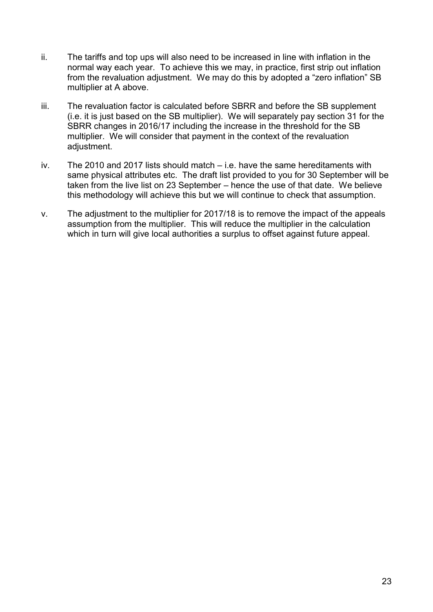- ii. The tariffs and top ups will also need to be increased in line with inflation in the normal way each year. To achieve this we may, in practice, first strip out inflation from the revaluation adjustment. We may do this by adopted a "zero inflation" SB multiplier at A above.
- iii. The revaluation factor is calculated before SBRR and before the SB supplement (i.e. it is just based on the SB multiplier). We will separately pay section 31 for the SBRR changes in 2016/17 including the increase in the threshold for the SB multiplier. We will consider that payment in the context of the revaluation adjustment.
- iv. The 2010 and 2017 lists should match i.e. have the same hereditaments with same physical attributes etc. The draft list provided to you for 30 September will be taken from the live list on 23 September – hence the use of that date. We believe this methodology will achieve this but we will continue to check that assumption.
- v. The adjustment to the multiplier for 2017/18 is to remove the impact of the appeals assumption from the multiplier. This will reduce the multiplier in the calculation which in turn will give local authorities a surplus to offset against future appeal.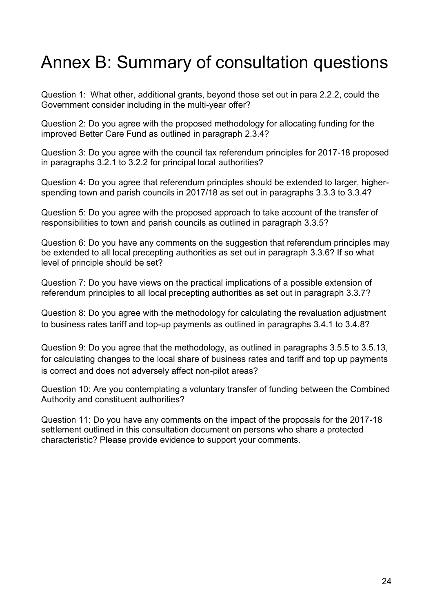# <span id="page-23-0"></span>Annex B: Summary of consultation questions

Question 1: What other, additional grants, beyond those set out in para 2.2.2, could the Government consider including in the multi-year offer?

Question 2: Do you agree with the proposed methodology for allocating funding for the improved Better Care Fund as outlined in paragraph 2.3.4?

Question 3: Do you agree with the council tax referendum principles for 2017-18 proposed in paragraphs 3.2.1 to 3.2.2 for principal local authorities?

Question 4: Do you agree that referendum principles should be extended to larger, higherspending town and parish councils in 2017/18 as set out in paragraphs 3.3.3 to 3.3.4?

Question 5: Do you agree with the proposed approach to take account of the transfer of responsibilities to town and parish councils as outlined in paragraph 3.3.5?

Question 6: Do you have any comments on the suggestion that referendum principles may be extended to all local precepting authorities as set out in paragraph 3.3.6? If so what level of principle should be set?

Question 7: Do you have views on the practical implications of a possible extension of referendum principles to all local precepting authorities as set out in paragraph 3.3.7?

Question 8: Do you agree with the methodology for calculating the revaluation adjustment to business rates tariff and top-up payments as outlined in paragraphs 3.4.1 to 3.4.8?

Question 9: Do you agree that the methodology, as outlined in paragraphs 3.5.5 to 3.5.13, for calculating changes to the local share of business rates and tariff and top up payments is correct and does not adversely affect non-pilot areas?

Question 10: Are you contemplating a voluntary transfer of funding between the Combined Authority and constituent authorities?

Question 11: Do you have any comments on the impact of the proposals for the 2017-18 settlement outlined in this consultation document on persons who share a protected characteristic? Please provide evidence to support your comments.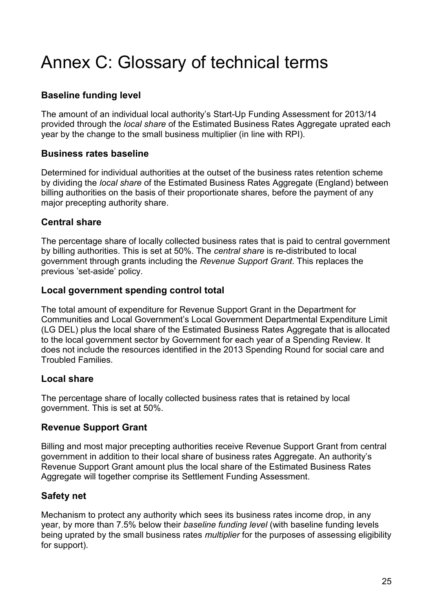# <span id="page-24-0"></span>Annex C: Glossary of technical terms

# **Baseline funding level**

The amount of an individual local authority's Start-Up Funding Assessment for 2013/14 provided through the *local share* of the Estimated Business Rates Aggregate uprated each year by the change to the small business multiplier (in line with RPI).

### **Business rates baseline**

Determined for individual authorities at the outset of the business rates retention scheme by dividing the *local share* of the Estimated Business Rates Aggregate (England) between billing authorities on the basis of their proportionate shares, before the payment of any major precepting authority share.

# **Central share**

The percentage share of locally collected business rates that is paid to central government by billing authorities. This is set at 50%. The *central share* is re-distributed to local government through grants including the *Revenue Support Grant*. This replaces the previous 'set-aside' policy.

# **Local government spending control total**

The total amount of expenditure for Revenue Support Grant in the Department for Communities and Local Government's Local Government Departmental Expenditure Limit (LG DEL) plus the local share of the Estimated Business Rates Aggregate that is allocated to the local government sector by Government for each year of a Spending Review. It does not include the resources identified in the 2013 Spending Round for social care and Troubled Families.

# **Local share**

The percentage share of locally collected business rates that is retained by local government. This is set at 50%.

# **Revenue Support Grant**

Billing and most major precepting authorities receive Revenue Support Grant from central government in addition to their local share of business rates Aggregate. An authority's Revenue Support Grant amount plus the local share of the Estimated Business Rates Aggregate will together comprise its Settlement Funding Assessment.

# **Safety net**

Mechanism to protect any authority which sees its business rates income drop, in any year, by more than 7.5% below their *baseline funding level* (with baseline funding levels being uprated by the small business rates *multiplier* for the purposes of assessing eligibility for support).